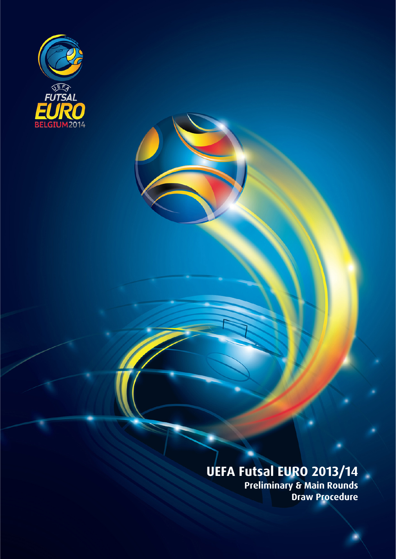

# **UEFA Futsal EURO 2013/14**

**Preliminary & Main Rounds Draw Procedure**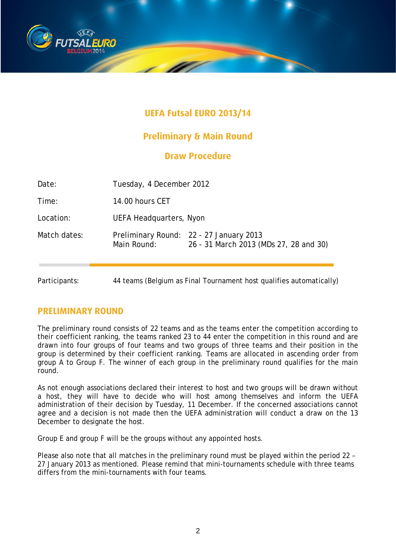

## **UEFA Futsal EURO 2013/14**

## **Preliminary & Main Round**

## **Draw Procedure**

| Date:         | Tuesday, 4 December 2012                                            |                                                                                   |
|---------------|---------------------------------------------------------------------|-----------------------------------------------------------------------------------|
| Time:         | 14.00 hours CET                                                     |                                                                                   |
| Location:     | <b>UEFA Headquarters, Nyon</b>                                      |                                                                                   |
| Match dates:  | Main Round:                                                         | Preliminary Round: 22 - 27 January 2013<br>26 - 31 March 2013 (MDs 27, 28 and 30) |
| Participants: | 44 teams (Belgium as Final Tournament host qualifies automatically) |                                                                                   |

## **PRELIMINARY ROUND**

The preliminary round consists of 22 teams and as the teams enter the competition according to their coefficient ranking, the teams ranked 23 to 44 enter the competition in this round and are drawn into four groups of four teams and two groups of three teams and their position in the group is determined by their coefficient ranking. Teams are allocated in ascending order from group A to Group F. The winner of each group in the preliminary round qualifies for the main round.

As not enough associations declared their interest to host and two groups will be drawn without a host, they will have to decide who will host among themselves and inform the UEFA administration of their decision by Tuesday, 11 December. If the concerned associations cannot agree and a decision is not made then the UEFA administration will conduct a draw on the 13 December to designate the host.

Group E and group F will be the groups without any appointed hosts.

Please also note that all matches in the preliminary round must be played within the period 22 – 27 January 2013 as mentioned. Please remind that mini-tournaments schedule with three teams differs from the mini-tournaments with four teams.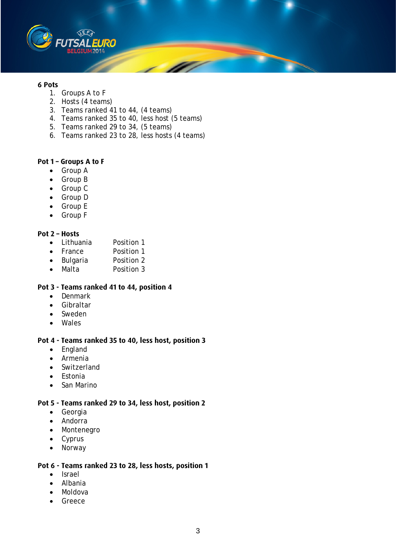

#### **6 Pots**

- 1. Groups A to F
- 2. Hosts (4 teams)
- 3. Teams ranked 41 to 44, (4 teams)
- 4. Teams ranked 35 to 40, less host (5 teams)
- 5. Teams ranked 29 to 34, (5 teams)
- 6. Teams ranked 23 to 28, less hosts (4 teams)

#### **Pot 1 – Groups A to F**

- Group A
- Group B
- Group C
- Group D
- Group E
- Group F

#### **Pot 2 – Hosts**

- Lithuania Position 1
- France Position 1<br>• Bulgaria Position 2
- Bulgaria<br>• Malta
- Malta Position 3

#### **Pot 3 - Teams ranked 41 to 44, position 4**

- Denmark
- Gibraltar
- Sweden
- Wales

#### **Pot 4 - Teams ranked 35 to 40, less host, position 3**

- England
- Armenia
- Switzerland
- Estonia
- San Marino

#### **Pot 5 - Teams ranked 29 to 34, less host, position 2**

- Georgia
- Andorra
- Montenegro
- Cyprus
- Norway

#### **Pot 6 - Teams ranked 23 to 28, less hosts, position 1**

- Israel
- Albania
- Moldova
- Greece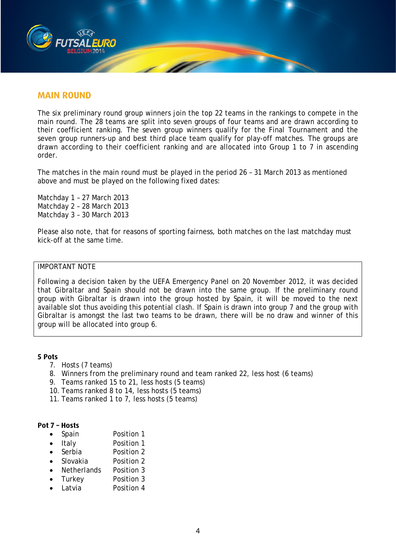

### **MAIN ROUND**

The six preliminary round group winners join the top 22 teams in the rankings to compete in the main round. The 28 teams are split into seven groups of four teams and are drawn according to their coefficient ranking. The seven group winners qualify for the Final Tournament and the seven group runners-up and best third place team qualify for play-off matches. The groups are drawn according to their coefficient ranking and are allocated into Group 1 to 7 in ascending order.

The matches in the main round must be played in the period 26 – 31 March 2013 as mentioned above and must be played on the following fixed dates:

Matchday 1 – 27 March 2013 Matchday 2 – 28 March 2013 Matchday 3 – 30 March 2013

Please also note, that for reasons of sporting fairness, both matches on the last matchday must kick-off at the same time.

#### IMPORTANT NOTE

Following a decision taken by the UEFA Emergency Panel on 20 November 2012, it was decided that Gibraltar and Spain should not be drawn into the same group. If the preliminary round group with Gibraltar is drawn into the group hosted by Spain, it will be moved to the next available slot thus avoiding this potential clash. If Spain is drawn into group 7 and the group with Gibraltar is amongst the last two teams to be drawn, there will be no draw and winner of this group will be allocated into group 6.

#### **5 Pots**

- 7. Hosts (7 teams)
- 8. Winners from the preliminary round and team ranked 22, less host (6 teams)
- 9. Teams ranked 15 to 21, less hosts (5 teams)
- 10. Teams ranked 8 to 14, less hosts (5 teams)
- 11. Teams ranked 1 to 7, less hosts (5 teams)

#### **Pot 7 – Hosts**

- Spain Position 1
- Italy Position 1
- Serbia Position 2
- Slovakia Position 2
- Netherlands Position 3
- Turkey Position 3
- Latvia Position 4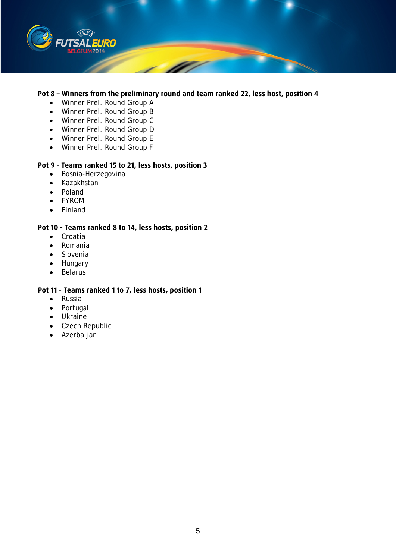

#### **Pot 8 – Winners from the preliminary round and team ranked 22, less host, position 4**

- Winner Prel. Round Group A
- Winner Prel. Round Group B
- Winner Prel. Round Group C
- Winner Prel. Round Group D
- Winner Prel. Round Group E
- Winner Prel. Round Group F

#### **Pot 9 - Teams ranked 15 to 21, less hosts, position 3**

- Bosnia-Herzegovina
- Kazakhstan
- Poland
- FYROM
- Finland

#### **Pot 10 - Teams ranked 8 to 14, less hosts, position 2**

- Croatia
- Romania
- Slovenia
- Hungary
- Belarus

#### **Pot 11 - Teams ranked 1 to 7, less hosts, position 1**

- Russia
- Portugal
- Ukraine
- Czech Republic
- Azerbaijan